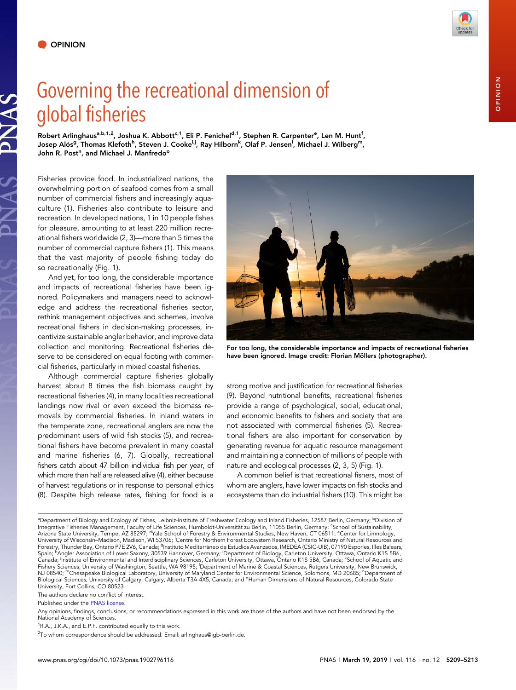JAS

## Governing the recreational dimension of global fisheries

Robert Arlinghaus<sup>a,b,1,2</sup>, Joshua K. Abbott<sup>c,1</sup>, Eli P. Fenichel<sup>d,1</sup>, Stephen R. Carpenter<sup>e</sup>, Len M. Hunt<sup>f</sup>, Josep Alós<sup>g</sup>, Thomas Klefoth<sup>h</sup>, Steven J. Cooke<sup>i,j</sup>, Ray Hilborn<sup>k</sup>, Olaf P. Jensen<sup>l</sup>, Michael J. Wilberg<sup>m</sup>, John R. Post<sup>n</sup>, and Michael J. Manfredo<sup>o</sup>

Fisheries provide food. In industrialized nations, the overwhelming portion of seafood comes from a small number of commercial fishers and increasingly aquaculture (1). Fisheries also contribute to leisure and recreation. In developed nations, 1 in 10 people fishes for pleasure, amounting to at least 220 million recreational fishers worldwide (2, 3)—more than 5 times the number of commercial capture fishers (1). This means that the vast majority of people fishing today do so recreationally (Fig. 1).

And yet, for too long, the considerable importance and impacts of recreational fisheries have been ignored. Policymakers and managers need to acknowledge and address the recreational fisheries sector, rethink management objectives and schemes, involve recreational fishers in decision-making processes, incentivize sustainable angler behavior, and improve data collection and monitoring. Recreational fisheries deserve to be considered on equal footing with commercial fisheries, particularly in mixed coastal fisheries.

Although commercial capture fisheries globally harvest about 8 times the fish biomass caught by recreational fisheries (4), in many localities recreational landings now rival or even exceed the biomass removals by commercial fisheries. In inland waters in the temperate zone, recreational anglers are now the predominant users of wild fish stocks (5), and recreational fishers have become prevalent in many coastal and marine fisheries (6, 7). Globally, recreational fishers catch about 47 billion individual fish per year, of which more than half are released alive (4), either because of harvest regulations or in response to personal ethics (8). Despite high release rates, fishing for food is a



For too long, the considerable importance and impacts of recreational fisheries have been ignored. Image credit: Florian Möllers (photographer).

strong motive and justification for recreational fisheries (9). Beyond nutritional benefits, recreational fisheries provide a range of psychological, social, educational, and economic benefits to fishers and society that are not associated with commercial fisheries (5). Recreational fishers are also important for conservation by generating revenue for aquatic resource management and maintaining a connection of millions of people with nature and ecological processes (2, 3, 5) (Fig. 1).

A common belief is that recreational fishers, most of whom are anglers, have lower impacts on fish stocks and ecosystems than do industrial fishers (10). This might be

The authors declare no conflict of interest.



ªDepartment of Biology and Ecology of Fishes, Leibniz-Institute of Freshwater Ecology and Inland Fisheries, 12587 Berlin, Germany; <sup>b</sup>Division of Integrative Fisheries Management, Faculty of Life Sciences, Humboldt-Universität zu Berlin, 11055 Berlin, Germany; <sup>c</sup>School of Sustainability, Arizona State University, Tempe, AZ 85297; <sup>d</sup>Yale School of Forestry & Environmental Studies, New Haven, CT 06511; <sup>e</sup>Center for Limnology, University of Wisconsin–Madison, Madison, WI 53706; <sup>f</sup>Centre for Northern Forest Ecosystem Research, Ontario Ministry of Natural Resources and Forestry, Thunder Bay, Ontario P7E 2V6, Canada; <sup>g</sup>Instituto Mediterráneo de Estudios Avanzados, IMEDEA (CSIC-UIB), 07190 Esporles, Illes Balears,<br>Spain; "Angler Association of Lower Saxony, 30539 Hannover, Germany; <sup>i</sup>Dep Fishery Sciences, University of Washington, Seattle, WA 98195; <sup>i</sup>Department of Marine & Coastal Sciences, Rutgers University, New Brunswick, NJ 08540; "Chesapeake Biological Laboratory, University of Maryland Center for Environmental Science, Solomons, MD 20685; "Department of Biological Sciences, University of Calgary, Calgary, Alberta T3A 4X5, Canada; and <sup>o</sup>Human Dimensions of Natural Resources, Colorado State University, Fort Collins, CO 80523

Published under the [PNAS license.](https://www.pnas.org/site/aboutpnas/licenses.xhtml)

Any opinions, findings, conclusions, or recommendations expressed in this work are those of the authors and have not been endorsed by the National Academy of Sciences.

<sup>&</sup>lt;sup>1</sup>R.A., J.K.A., and E.P.F. contributed equally to this work.

<sup>&</sup>lt;sup>2</sup>To whom correspondence should be addressed. Email: [arlinghaus@igb-berlin.de.](mailto:arlinghaus@igb-berlin.de)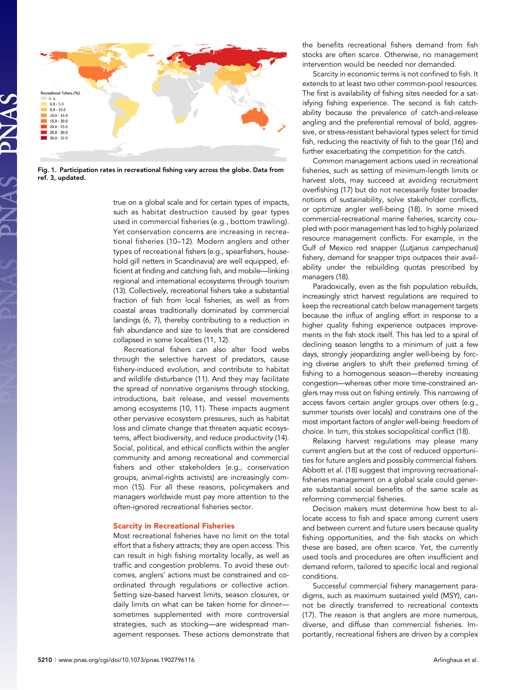

Fig. 1. Participation rates in recreational fishing vary across the globe. Data from ref. 3, updated.

true on a global scale and for certain types of impacts, such as habitat destruction caused by gear types used in commercial fisheries (e.g., bottom trawling). Yet conservation concerns are increasing in recreational fisheries (10–12). Modern anglers and other types of recreational fishers (e.g., spearfishers, household gill netters in Scandinavia) are well equipped, efficient at finding and catching fish, and mobile—linking regional and international ecosystems through tourism (13). Collectively, recreational fishers take a substantial fraction of fish from local fisheries, as well as from coastal areas traditionally dominated by commercial landings (6, 7), thereby contributing to a reduction in fish abundance and size to levels that are considered collapsed in some localities (11, 12).

Recreational fishers can also alter food webs through the selective harvest of predators, cause fishery-induced evolution, and contribute to habitat and wildlife disturbance (11). And they may facilitate the spread of nonnative organisms through stocking, introductions, bait release, and vessel movements among ecosystems (10, 11). These impacts augment other pervasive ecosystem pressures, such as habitat loss and climate change that threaten aquatic ecosystems, affect biodiversity, and reduce productivity (14). Social, political, and ethical conflicts within the angler community and among recreational and commercial fishers and other stakeholders (e.g., conservation groups, animal-rights activists) are increasingly common (15). For all these reasons, policymakers and managers worldwide must pay more attention to the often-ignored recreational fisheries sector.

## Scarcity in Recreational Fisheries

Most recreational fisheries have no limit on the total effort that a fishery attracts; they are open access. This can result in high fishing mortality locally, as well as traffic and congestion problems. To avoid these outcomes, anglers' actions must be constrained and coordinated through regulations or collective action. Setting size-based harvest limits, season closures, or daily limits on what can be taken home for dinner sometimes supplemented with more controversial strategies, such as stocking—are widespread management responses. These actions demonstrate that the benefits recreational fishers demand from fish stocks are often scarce. Otherwise, no management intervention would be needed nor demanded.

Scarcity in economic terms is not confined to fish. It extends to at least two other common-pool resources. The first is availability of fishing sites needed for a satisfying fishing experience. The second is fish catchability because the prevalence of catch-and-release angling and the preferential removal of bold, aggressive, or stress-resistant behavioral types select for timid fish, reducing the reactivity of fish to the gear (16) and further exacerbating the competition for the catch.

Common management actions used in recreational fisheries, such as setting of minimum-length limits or harvest slots, may succeed at avoiding recruitment overfishing (17) but do not necessarily foster broader notions of sustainability, solve stakeholder conflicts, or optimize angler well-being (18). In some mixed commercial-recreational marine fisheries, scarcity coupled with poor management has led to highly polarized resource management conflicts. For example, in the Gulf of Mexico red snapper (Lutjanus campechanus) fishery, demand for snapper trips outpaces their availability under the rebuilding quotas prescribed by managers (18).

Paradoxically, even as the fish population rebuilds, increasingly strict harvest regulations are required to keep the recreational catch below management targets because the influx of angling effort in response to a higher quality fishing experience outpaces improvements in the fish stock itself. This has led to a spiral of declining season lengths to a minimum of just a few days, strongly jeopardizing angler well-being by forcing diverse anglers to shift their preferred timing of fishing to a homogenous season—thereby increasing congestion—whereas other more time-constrained anglers may miss out on fishing entirely. This narrowing of access favors certain angler groups over others (e.g., summer tourists over locals) and constrains one of the most important factors of angler well-being: freedom of choice. In turn, this stokes sociopolitical conflict (18).

Relaxing harvest regulations may please many current anglers but at the cost of reduced opportunities for future anglers and possibly commercial fishers. Abbott et al. (18) suggest that improving recreationalfisheries management on a global scale could generate substantial social benefits of the same scale as reforming commercial fisheries.

Decision makers must determine how best to allocate access to fish and space among current users and between current and future users because quality fishing opportunities, and the fish stocks on which these are based, are often scarce. Yet, the currently used tools and procedures are often insufficient and demand reform, tailored to specific local and regional conditions.

Successful commercial fishery management paradigms, such as maximum sustained yield (MSY), cannot be directly transferred to recreational contexts (17). The reason is that anglers are more numerous, diverse, and diffuse than commercial fisheries. Importantly, recreational fishers are driven by a complex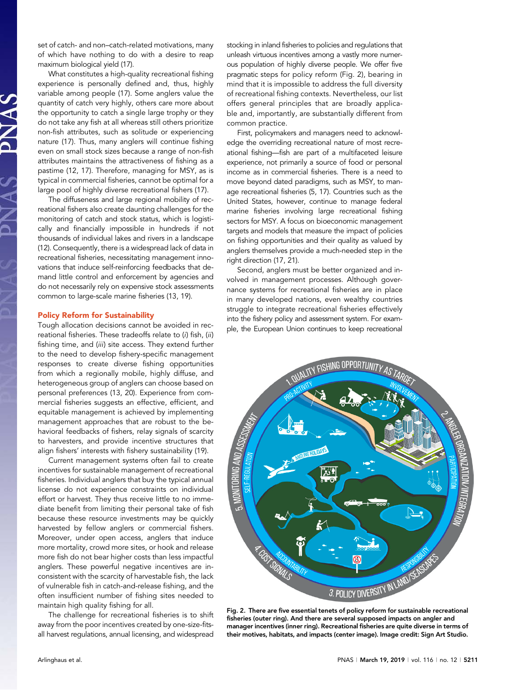set of catch- and non–catch-related motivations, many of which have nothing to do with a desire to reap maximum biological yield (17).

What constitutes a high-quality recreational fishing experience is personally defined and, thus, highly variable among people (17). Some anglers value the quantity of catch very highly, others care more about the opportunity to catch a single large trophy or they do not take any fish at all whereas still others prioritize non-fish attributes, such as solitude or experiencing nature (17). Thus, many anglers will continue fishing even on small stock sizes because a range of non-fish attributes maintains the attractiveness of fishing as a pastime (12, 17). Therefore, managing for MSY, as is typical in commercial fisheries, cannot be optimal for a large pool of highly diverse recreational fishers (17).

The diffuseness and large regional mobility of recreational fishers also create daunting challenges for the monitoring of catch and stock status, which is logistically and financially impossible in hundreds if not thousands of individual lakes and rivers in a landscape (12). Consequently, there is a widespread lack of data in recreational fisheries, necessitating management innovations that induce self-reinforcing feedbacks that demand little control and enforcement by agencies and do not necessarily rely on expensive stock assessments common to large-scale marine fisheries (13, 19).

## Policy Reform for Sustainability

Tough allocation decisions cannot be avoided in recreational fisheries. These tradeoffs relate to (i) fish, (ii) fishing time, and (iii) site access. They extend further to the need to develop fishery-specific management responses to create diverse fishing opportunities from which a regionally mobile, highly diffuse, and heterogeneous group of anglers can choose based on personal preferences (13, 20). Experience from commercial fisheries suggests an effective, efficient, and equitable management is achieved by implementing management approaches that are robust to the behavioral feedbacks of fishers, relay signals of scarcity to harvesters, and provide incentive structures that align fishers' interests with fishery sustainability (19).

Current management systems often fail to create incentives for sustainable management of recreational fisheries. Individual anglers that buy the typical annual license do not experience constraints on individual effort or harvest. They thus receive little to no immediate benefit from limiting their personal take of fish because these resource investments may be quickly harvested by fellow anglers or commercial fishers. Moreover, under open access, anglers that induce more mortality, crowd more sites, or hook and release more fish do not bear higher costs than less impactful anglers. These powerful negative incentives are inconsistent with the scarcity of harvestable fish, the lack of vulnerable fish in catch-and-release fishing, and the often insufficient number of fishing sites needed to maintain high quality fishing for all.

The challenge for recreational fisheries is to shift away from the poor incentives created by one-size-fitsall harvest regulations, annual licensing, and widespread

stocking in inland fisheries to policies and regulations that unleash virtuous incentives among a vastly more numerous population of highly diverse people. We offer five pragmatic steps for policy reform (Fig. 2), bearing in mind that it is impossible to address the full diversity of recreational fishing contexts. Nevertheless, our list offers general principles that are broadly applicable and, importantly, are substantially different from common practice.

First, policymakers and managers need to acknowledge the overriding recreational nature of most recreational fishing—fish are part of a multifaceted leisure experience, not primarily a source of food or personal income as in commercial fisheries. There is a need to move beyond dated paradigms, such as MSY, to manage recreational fisheries (5, 17). Countries such as the United States, however, continue to manage federal marine fisheries involving large recreational fishing sectors for MSY. A focus on bioeconomic management targets and models that measure the impact of policies on fishing opportunities and their quality as valued by anglers themselves provide a much-needed step in the right direction (17, 21).

Second, anglers must be better organized and involved in management processes. Although governance systems for recreational fisheries are in place in many developed nations, even wealthy countries struggle to integrate recreational fisheries effectively into the fishery policy and assessment system. For example, the European Union continues to keep recreational



Fig. 2. There are five essential tenets of policy reform for sustainable recreational fisheries (outer ring). And there are several supposed impacts on angler and manager incentives (inner ring). Recreational fisheries are quite diverse in terms of their motives, habitats, and impacts (center image). Image credit: Sign Art Studio.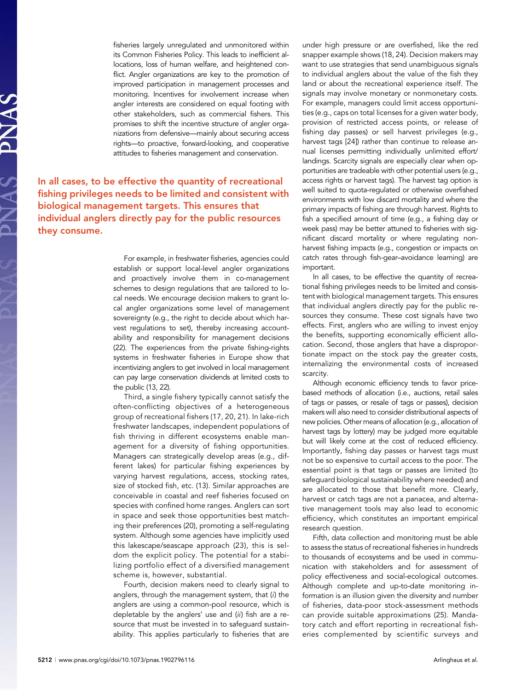fisheries largely unregulated and unmonitored within its Common Fisheries Policy. This leads to inefficient allocations, loss of human welfare, and heightened conflict. Angler organizations are key to the promotion of improved participation in management processes and monitoring. Incentives for involvement increase when angler interests are considered on equal footing with other stakeholders, such as commercial fishers. This promises to shift the incentive structure of angler organizations from defensive—mainly about securing access rights—to proactive, forward-looking, and cooperative attitudes to fisheries management and conservation.

In all cases, to be effective the quantity of recreational fishing privileges needs to be limited and consistent with biological management targets. This ensures that individual anglers directly pay for the public resources they consume.

> For example, in freshwater fisheries, agencies could establish or support local-level angler organizations and proactively involve them in co-management schemes to design regulations that are tailored to local needs. We encourage decision makers to grant local angler organizations some level of management sovereignty (e.g., the right to decide about which harvest regulations to set), thereby increasing accountability and responsibility for management decisions (22). The experiences from the private fishing-rights systems in freshwater fisheries in Europe show that incentivizing anglers to get involved in local management can pay large conservation dividends at limited costs to the public (13, 22).

> Third, a single fishery typically cannot satisfy the often-conflicting objectives of a heterogeneous group of recreational fishers (17, 20, 21). In lake-rich freshwater landscapes, independent populations of fish thriving in different ecosystems enable management for a diversity of fishing opportunities. Managers can strategically develop areas (e.g., different lakes) for particular fishing experiences by varying harvest regulations, access, stocking rates, size of stocked fish, etc. (13). Similar approaches are conceivable in coastal and reef fisheries focused on species with confined home ranges. Anglers can sort in space and seek those opportunities best matching their preferences (20), promoting a self-regulating system. Although some agencies have implicitly used this lakescape/seascape approach (23), this is seldom the explicit policy. The potential for a stabilizing portfolio effect of a diversified management scheme is, however, substantial.

> Fourth, decision makers need to clearly signal to anglers, through the management system, that (i) the anglers are using a common-pool resource, which is depletable by the anglers' use and (ii) fish are a resource that must be invested in to safeguard sustainability. This applies particularly to fisheries that are

under high pressure or are overfished, like the red snapper example shows (18, 24). Decision makers may want to use strategies that send unambiguous signals to individual anglers about the value of the fish they land or about the recreational experience itself. The signals may involve monetary or nonmonetary costs. For example, managers could limit access opportunities (e.g., caps on total licenses for a given water body, provision of restricted access points, or release of fishing day passes) or sell harvest privileges (e.g., harvest tags [24]) rather than continue to release annual licenses permitting individually unlimited effort/ landings. Scarcity signals are especially clear when opportunities are tradeable with other potential users (e.g., access rights or harvest tags). The harvest tag option is well suited to quota-regulated or otherwise overfished environments with low discard mortality and where the primary impacts of fishing are through harvest. Rights to fish a specified amount of time (e.g., a fishing day or week pass) may be better attuned to fisheries with significant discard mortality or where regulating nonharvest fishing impacts (e.g., congestion or impacts on catch rates through fish-gear–avoidance learning) are important.

In all cases, to be effective the quantity of recreational fishing privileges needs to be limited and consistent with biological management targets. This ensures that individual anglers directly pay for the public resources they consume. These cost signals have two effects. First, anglers who are willing to invest enjoy the benefits, supporting economically efficient allocation. Second, those anglers that have a disproportionate impact on the stock pay the greater costs, internalizing the environmental costs of increased scarcity.

Although economic efficiency tends to favor pricebased methods of allocation (i.e., auctions, retail sales of tags or passes, or resale of tags or passes), decision makers will also need to consider distributional aspects of new policies. Other means of allocation (e.g., allocation of harvest tags by lottery) may be judged more equitable but will likely come at the cost of reduced efficiency. Importantly, fishing day passes or harvest tags must not be so expensive to curtail access to the poor. The essential point is that tags or passes are limited (to safeguard biological sustainability where needed) and are allocated to those that benefit more. Clearly, harvest or catch tags are not a panacea, and alternative management tools may also lead to economic efficiency, which constitutes an important empirical research question.

Fifth, data collection and monitoring must be able to assess the status of recreational fisheries in hundreds to thousands of ecosystems and be used in communication with stakeholders and for assessment of policy effectiveness and social-ecological outcomes. Although complete and up-to-date monitoring information is an illusion given the diversity and number of fisheries, data-poor stock-assessment methods can provide suitable approximations (25). Mandatory catch and effort reporting in recreational fisheries complemented by scientific surveys and